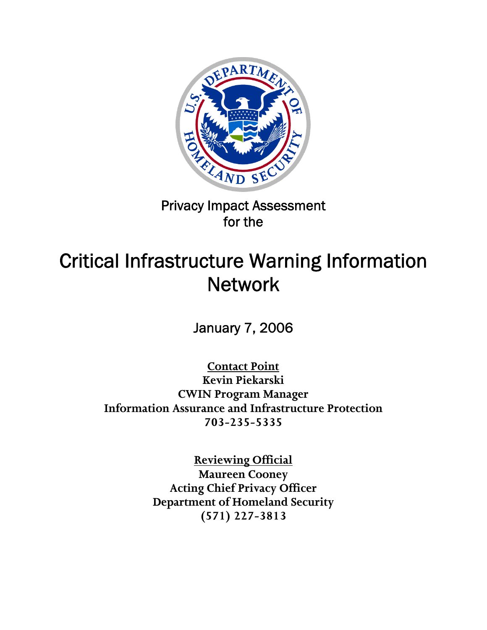

Privacy Impact Assessment for the

# Critical Infrastructure Warning Information **Network**

January 7, 2006

**Contact Point**

**Kevin Piekarski CWIN Program Manager Information Assurance and Infrastructure Protection 703-235-5335** 

> **Reviewing Official Maureen Cooney Acting Chief Privacy Officer Department of Homeland Security (571) 227-3813**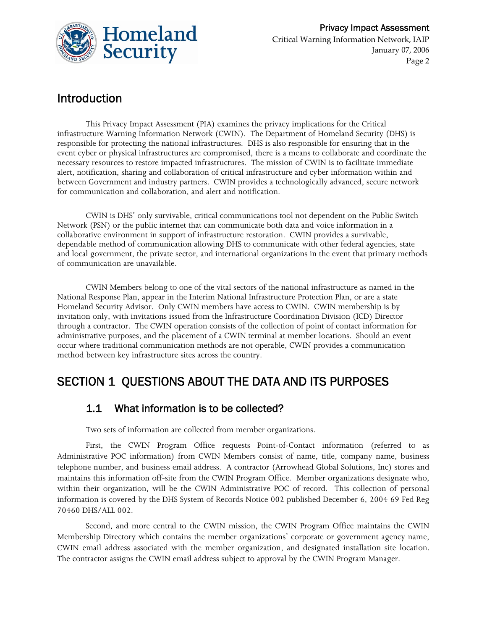

# Introduction

This Privacy Impact Assessment (PIA) examines the privacy implications for the Critical infrastructure Warning Information Network (CWIN). The Department of Homeland Security (DHS) is responsible for protecting the national infrastructures. DHS is also responsible for ensuring that in the event cyber or physical infrastructures are compromised, there is a means to collaborate and coordinate the necessary resources to restore impacted infrastructures. The mission of CWIN is to facilitate immediate alert, notification, sharing and collaboration of critical infrastructure and cyber information within and between Government and industry partners. CWIN provides a technologically advanced, secure network for communication and collaboration, and alert and notification.

CWIN is DHS' only survivable, critical communications tool not dependent on the Public Switch Network (PSN) or the public internet that can communicate both data and voice information in a collaborative environment in support of infrastructure restoration. CWIN provides a survivable, dependable method of communication allowing DHS to communicate with other federal agencies, state and local government, the private sector, and international organizations in the event that primary methods of communication are unavailable.

CWIN Members belong to one of the vital sectors of the national infrastructure as named in the National Response Plan, appear in the Interim National Infrastructure Protection Plan, or are a state Homeland Security Advisor. Only CWIN members have access to CWIN. CWIN membership is by invitation only, with invitations issued from the Infrastructure Coordination Division (ICD) Director through a contractor. The CWIN operation consists of the collection of point of contact information for administrative purposes, and the placement of a CWIN terminal at member locations. Should an event occur where traditional communication methods are not operable, CWIN provides a communication method between key infrastructure sites across the country.

# SECTION 1 QUESTIONS ABOUT THE DATA AND ITS PURPOSES

#### 1.1 What information is to be collected?

Two sets of information are collected from member organizations.

First, the CWIN Program Office requests Point-of-Contact information (referred to as Administrative POC information) from CWIN Members consist of name, title, company name, business telephone number, and business email address. A contractor (Arrowhead Global Solutions, Inc) stores and maintains this information off-site from the CWIN Program Office. Member organizations designate who, within their organization, will be the CWIN Administrative POC of record. This collection of personal information is covered by the DHS System of Records Notice 002 published December 6, 2004 69 Fed Reg 70460 DHS/ALL 002.

Second, and more central to the CWIN mission, the CWIN Program Office maintains the CWIN Membership Directory which contains the member organizations' corporate or government agency name, CWIN email address associated with the member organization, and designated installation site location. The contractor assigns the CWIN email address subject to approval by the CWIN Program Manager.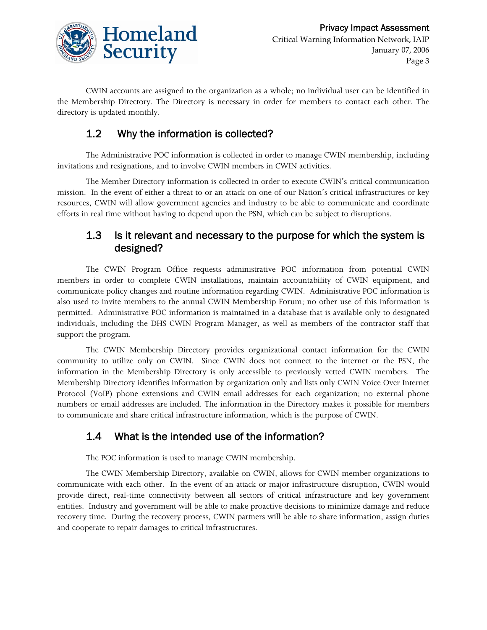

CWIN accounts are assigned to the organization as a whole; no individual user can be identified in the Membership Directory. The Directory is necessary in order for members to contact each other. The directory is updated monthly.

#### 1.2 Why the information is collected?

The Administrative POC information is collected in order to manage CWIN membership, including invitations and resignations, and to involve CWIN members in CWIN activities.

The Member Directory information is collected in order to execute CWIN's critical communication mission. In the event of either a threat to or an attack on one of our Nation's critical infrastructures or key resources, CWIN will allow government agencies and industry to be able to communicate and coordinate efforts in real time without having to depend upon the PSN, which can be subject to disruptions.

#### 1.3 Is it relevant and necessary to the purpose for which the system is designed?

The CWIN Program Office requests administrative POC information from potential CWIN members in order to complete CWIN installations, maintain accountability of CWIN equipment, and communicate policy changes and routine information regarding CWIN. Administrative POC information is also used to invite members to the annual CWIN Membership Forum; no other use of this information is permitted. Administrative POC information is maintained in a database that is available only to designated individuals, including the DHS CWIN Program Manager, as well as members of the contractor staff that support the program.

The CWIN Membership Directory provides organizational contact information for the CWIN community to utilize only on CWIN. Since CWIN does not connect to the internet or the PSN, the information in the Membership Directory is only accessible to previously vetted CWIN members. The Membership Directory identifies information by organization only and lists only CWIN Voice Over Internet Protocol (VoIP) phone extensions and CWIN email addresses for each organization; no external phone numbers or email addresses are included. The information in the Directory makes it possible for members to communicate and share critical infrastructure information, which is the purpose of CWIN.

#### 1.4 What is the intended use of the information?

The POC information is used to manage CWIN membership.

The CWIN Membership Directory, available on CWIN, allows for CWIN member organizations to communicate with each other. In the event of an attack or major infrastructure disruption, CWIN would provide direct, real-time connectivity between all sectors of critical infrastructure and key government entities. Industry and government will be able to make proactive decisions to minimize damage and reduce recovery time. During the recovery process, CWIN partners will be able to share information, assign duties and cooperate to repair damages to critical infrastructures.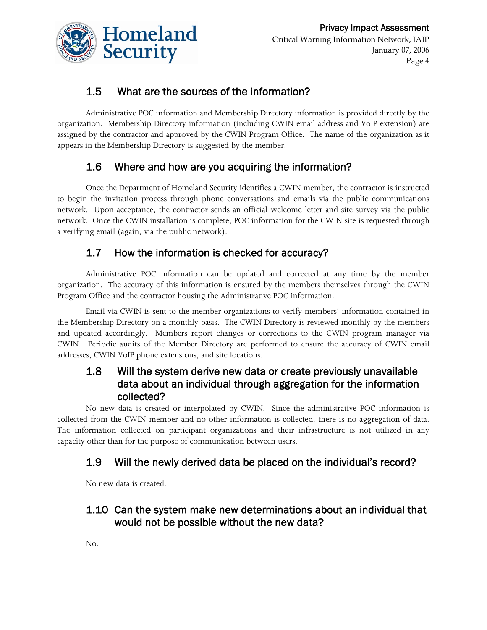

## 1.5 What are the sources of the information?

Administrative POC information and Membership Directory information is provided directly by the organization. Membership Directory information (including CWIN email address and VoIP extension) are assigned by the contractor and approved by the CWIN Program Office. The name of the organization as it appears in the Membership Directory is suggested by the member.

## 1.6 Where and how are you acquiring the information?

Once the Department of Homeland Security identifies a CWIN member, the contractor is instructed to begin the invitation process through phone conversations and emails via the public communications network. Upon acceptance, the contractor sends an official welcome letter and site survey via the public network. Once the CWIN installation is complete, POC information for the CWIN site is requested through a verifying email (again, via the public network).

## 1.7 How the information is checked for accuracy?

Administrative POC information can be updated and corrected at any time by the member organization. The accuracy of this information is ensured by the members themselves through the CWIN Program Office and the contractor housing the Administrative POC information.

Email via CWIN is sent to the member organizations to verify members' information contained in the Membership Directory on a monthly basis. The CWIN Directory is reviewed monthly by the members and updated accordingly. Members report changes or corrections to the CWIN program manager via CWIN. Periodic audits of the Member Directory are performed to ensure the accuracy of CWIN email addresses, CWIN VoIP phone extensions, and site locations.

#### 1.8 Will the system derive new data or create previously unavailable data about an individual through aggregation for the information collected?

No new data is created or interpolated by CWIN. Since the administrative POC information is collected from the CWIN member and no other information is collected, there is no aggregation of data. The information collected on participant organizations and their infrastructure is not utilized in any capacity other than for the purpose of communication between users.

#### 1.9 Will the newly derived data be placed on the individual's record?

No new data is created.

#### 1.10 Can the system make new determinations about an individual that would not be possible without the new data?

No.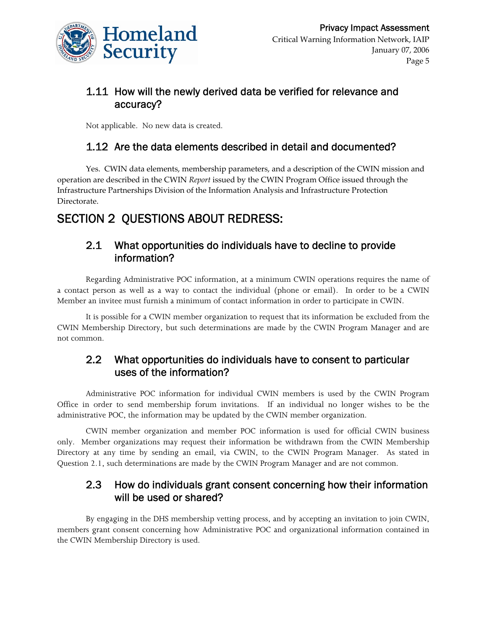

#### 1.11 How will the newly derived data be verified for relevance and accuracy?

Not applicable. No new data is created.

#### 1.12 Are the data elements described in detail and documented?

Yes. CWIN data elements, membership parameters, and a description of the CWIN mission and operation are described in the CWIN *Report* issued by the CWIN Program Office issued through the Infrastructure Partnerships Division of the Information Analysis and Infrastructure Protection Directorate.

# SECTION 2 QUESTIONS ABOUT REDRESS:

#### 2.1 What opportunities do individuals have to decline to provide information?

Regarding Administrative POC information, at a minimum CWIN operations requires the name of a contact person as well as a way to contact the individual (phone or email). In order to be a CWIN Member an invitee must furnish a minimum of contact information in order to participate in CWIN.

It is possible for a CWIN member organization to request that its information be excluded from the CWIN Membership Directory, but such determinations are made by the CWIN Program Manager and are not common.

#### 2.2 What opportunities do individuals have to consent to particular uses of the information?

Administrative POC information for individual CWIN members is used by the CWIN Program Office in order to send membership forum invitations. If an individual no longer wishes to be the administrative POC, the information may be updated by the CWIN member organization.

CWIN member organization and member POC information is used for official CWIN business only. Member organizations may request their information be withdrawn from the CWIN Membership Directory at any time by sending an email, via CWIN, to the CWIN Program Manager. As stated in Question 2.1, such determinations are made by the CWIN Program Manager and are not common.

#### 2.3 How do individuals grant consent concerning how their information will be used or shared?

By engaging in the DHS membership vetting process, and by accepting an invitation to join CWIN, members grant consent concerning how Administrative POC and organizational information contained in the CWIN Membership Directory is used.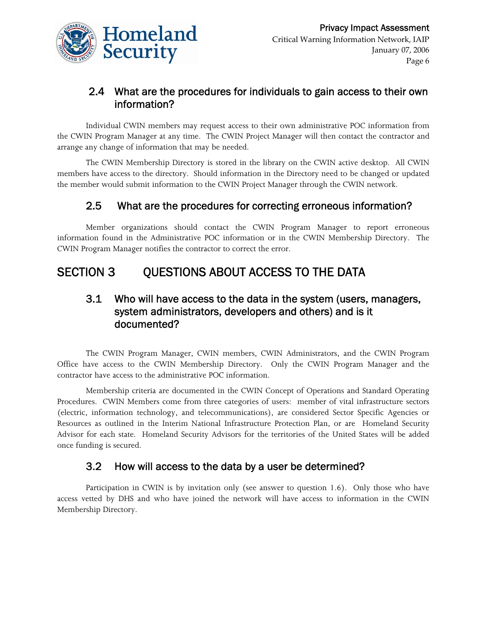

#### 2.4 What are the procedures for individuals to gain access to their own information?

Individual CWIN members may request access to their own administrative POC information from the CWIN Program Manager at any time. The CWIN Project Manager will then contact the contractor and arrange any change of information that may be needed.

The CWIN Membership Directory is stored in the library on the CWIN active desktop. All CWIN members have access to the directory. Should information in the Directory need to be changed or updated the member would submit information to the CWIN Project Manager through the CWIN network.

#### 2.5 What are the procedures for correcting erroneous information?

Member organizations should contact the CWIN Program Manager to report erroneous information found in the Administrative POC information or in the CWIN Membership Directory. The CWIN Program Manager notifies the contractor to correct the error.

# SECTION 3 QUESTIONS ABOUT ACCESS TO THE DATA

#### 3.1 Who will have access to the data in the system (users, managers, system administrators, developers and others) and is it documented?

The CWIN Program Manager, CWIN members, CWIN Administrators, and the CWIN Program Office have access to the CWIN Membership Directory. Only the CWIN Program Manager and the contractor have access to the administrative POC information.

Membership criteria are documented in the CWIN Concept of Operations and Standard Operating Procedures. CWIN Members come from three categories of users: member of vital infrastructure sectors (electric, information technology, and telecommunications), are considered Sector Specific Agencies or Resources as outlined in the Interim National Infrastructure Protection Plan, or are Homeland Security Advisor for each state. Homeland Security Advisors for the territories of the United States will be added once funding is secured.

#### 3.2 How will access to the data by a user be determined?

Participation in CWIN is by invitation only (see answer to question 1.6). Only those who have access vetted by DHS and who have joined the network will have access to information in the CWIN Membership Directory.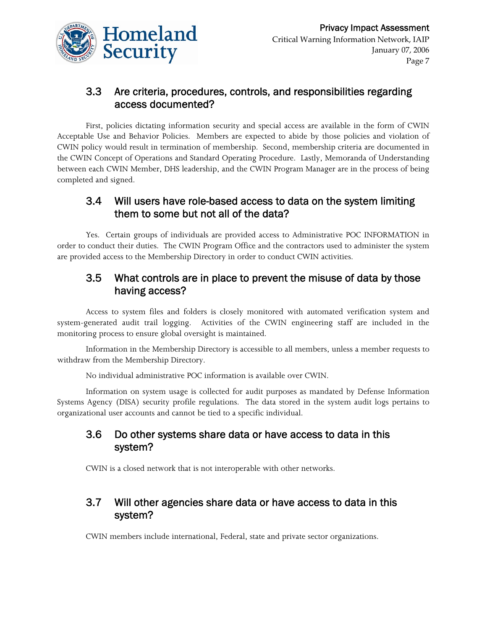

#### 3.3 Are criteria, procedures, controls, and responsibilities regarding access documented?

First, policies dictating information security and special access are available in the form of CWIN Acceptable Use and Behavior Policies. Members are expected to abide by those policies and violation of CWIN policy would result in termination of membership. Second, membership criteria are documented in the CWIN Concept of Operations and Standard Operating Procedure. Lastly, Memoranda of Understanding between each CWIN Member, DHS leadership, and the CWIN Program Manager are in the process of being completed and signed.

#### 3.4 Will users have role-based access to data on the system limiting them to some but not all of the data?

Yes. Certain groups of individuals are provided access to Administrative POC INFORMATION in order to conduct their duties. The CWIN Program Office and the contractors used to administer the system are provided access to the Membership Directory in order to conduct CWIN activities.

#### 3.5 What controls are in place to prevent the misuse of data by those having access?

Access to system files and folders is closely monitored with automated verification system and system-generated audit trail logging. Activities of the CWIN engineering staff are included in the monitoring process to ensure global oversight is maintained.

Information in the Membership Directory is accessible to all members, unless a member requests to withdraw from the Membership Directory.

No individual administrative POC information is available over CWIN.

Information on system usage is collected for audit purposes as mandated by Defense Information Systems Agency (DISA) security profile regulations. The data stored in the system audit logs pertains to organizational user accounts and cannot be tied to a specific individual.

#### 3.6 Do other systems share data or have access to data in this system?

CWIN is a closed network that is not interoperable with other networks.

#### 3.7 Will other agencies share data or have access to data in this system?

CWIN members include international, Federal, state and private sector organizations.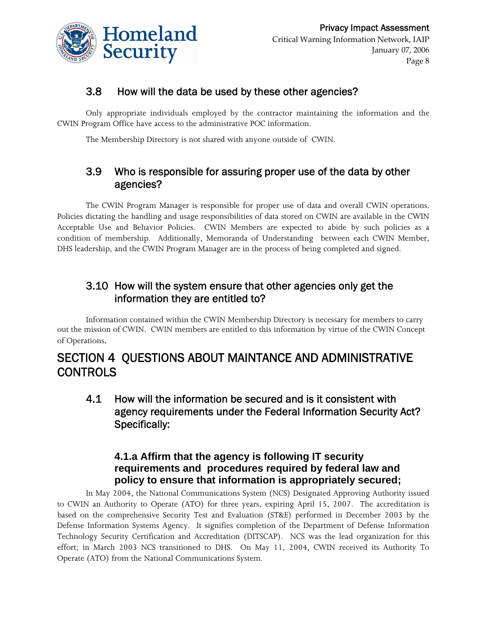

### 3.8 How will the data be used by these other agencies?

Only appropriate individuals employed by the contractor maintaining the information and the CWIN Program Office have access to the administrative POC information.

The Membership Directory is not shared with anyone outside of CWIN.

#### 3.9 Who is responsible for assuring proper use of the data by other agencies?

The CWIN Program Manager is responsible for proper use of data and overall CWIN operations. Policies dictating the handling and usage responsibilities of data stored on CWIN are available in the CWIN Acceptable Use and Behavior Policies. CWIN Members are expected to abide by such policies as a condition of membership. Additionally, Memoranda of Understanding between each CWIN Member, DHS leadership, and the CWIN Program Manager are in the process of being completed and signed.

#### 3.10 How will the system ensure that other agencies only get the information they are entitled to?

Information contained within the CWIN Membership Directory is necessary for members to carry out the mission of CWIN. CWIN members are entitled to this information by virtue of the CWIN Concept of Operations.

# SECTION 4 QUESTIONS ABOUT MAINTANCE AND ADMINISTRATIVE **CONTROLS**

4.1 How will the information be secured and is it consistent with agency requirements under the Federal Information Security Act? Specifically:

#### **4.1.a Affirm that the agency is following IT security requirements and procedures required by federal law and policy to ensure that information is appropriately secured;**

In May 2004, the National Communications System (NCS) Designated Approving Authority issued to CWIN an Authority to Operate (ATO) for three years, expiring April 15, 2007. The accreditation is based on the comprehensive Security Test and Evaluation (ST&E) performed in December 2003 by the Defense Information Systems Agency. It signifies completion of the Department of Defense Information Technology Security Certification and Accreditation (DITSCAP). NCS was the lead organization for this effort; in March 2003 NCS transitioned to DHS. On May 11, 2004, CWIN received its Authority To Operate (ATO) from the National Communications System.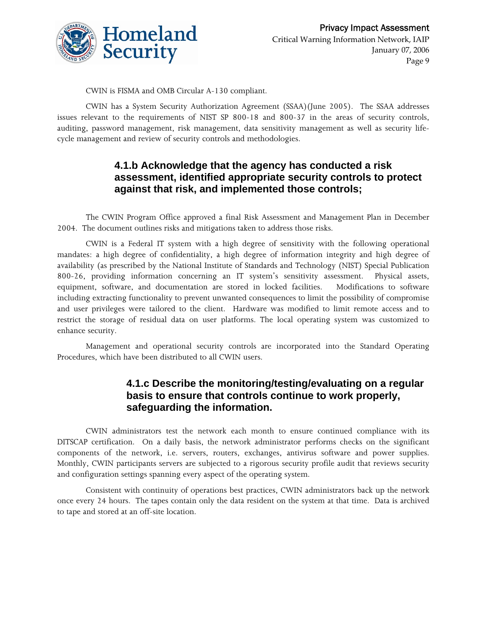

CWIN is FISMA and OMB Circular A-130 compliant.

CWIN has a System Security Authorization Agreement (SSAA)(June 2005). The SSAA addresses issues relevant to the requirements of NIST SP 800-18 and 800-37 in the areas of security controls, auditing, password management, risk management, data sensitivity management as well as security lifecycle management and review of security controls and methodologies.

#### **4.1.b Acknowledge that the agency has conducted a risk assessment, identified appropriate security controls to protect against that risk, and implemented those controls;**

The CWIN Program Office approved a final Risk Assessment and Management Plan in December 2004. The document outlines risks and mitigations taken to address those risks.

CWIN is a Federal IT system with a high degree of sensitivity with the following operational mandates: a high degree of confidentiality, a high degree of information integrity and high degree of availability (as prescribed by the National Institute of Standards and Technology (NIST) Special Publication 800-26, providing information concerning an IT system's sensitivity assessment. Physical assets, equipment, software, and documentation are stored in locked facilities. Modifications to software including extracting functionality to prevent unwanted consequences to limit the possibility of compromise and user privileges were tailored to the client. Hardware was modified to limit remote access and to restrict the storage of residual data on user platforms. The local operating system was customized to enhance security.

Management and operational security controls are incorporated into the Standard Operating Procedures, which have been distributed to all CWIN users.

#### **4.1.c Describe the monitoring/testing/evaluating on a regular basis to ensure that controls continue to work properly, safeguarding the information.**

CWIN administrators test the network each month to ensure continued compliance with its DITSCAP certification. On a daily basis, the network administrator performs checks on the significant components of the network, i.e. servers, routers, exchanges, antivirus software and power supplies. Monthly, CWIN participants servers are subjected to a rigorous security profile audit that reviews security and configuration settings spanning every aspect of the operating system.

Consistent with continuity of operations best practices, CWIN administrators back up the network once every 24 hours. The tapes contain only the data resident on the system at that time. Data is archived to tape and stored at an off-site location.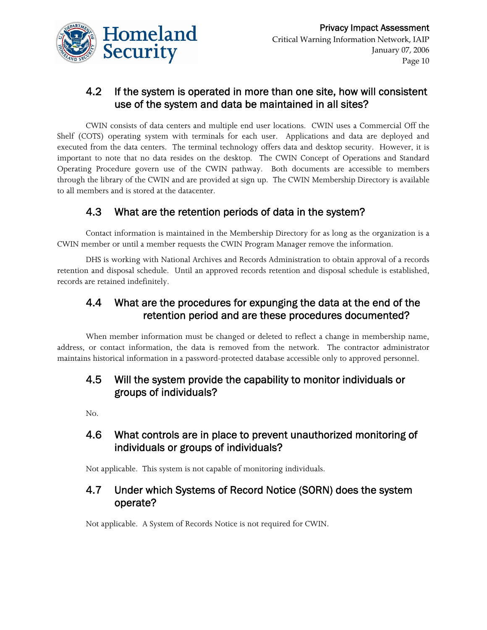

#### 4.2 If the system is operated in more than one site, how will consistent use of the system and data be maintained in all sites?

CWIN consists of data centers and multiple end user locations. CWIN uses a Commercial Off the Shelf (COTS) operating system with terminals for each user. Applications and data are deployed and executed from the data centers. The terminal technology offers data and desktop security. However, it is important to note that no data resides on the desktop. The CWIN Concept of Operations and Standard Operating Procedure govern use of the CWIN pathway. Both documents are accessible to members through the library of the CWIN and are provided at sign up. The CWIN Membership Directory is available to all members and is stored at the datacenter.

## 4.3 What are the retention periods of data in the system?

Contact information is maintained in the Membership Directory for as long as the organization is a CWIN member or until a member requests the CWIN Program Manager remove the information.

DHS is working with National Archives and Records Administration to obtain approval of a records retention and disposal schedule. Until an approved records retention and disposal schedule is established, records are retained indefinitely.

#### 4.4 What are the procedures for expunging the data at the end of the retention period and are these procedures documented?

When member information must be changed or deleted to reflect a change in membership name, address, or contact information, the data is removed from the network. The contractor administrator maintains historical information in a password-protected database accessible only to approved personnel.

#### 4.5 Will the system provide the capability to monitor individuals or groups of individuals?

No.

#### 4.6 What controls are in place to prevent unauthorized monitoring of individuals or groups of individuals?

Not applicable. This system is not capable of monitoring individuals.

#### 4.7 Under which Systems of Record Notice (SORN) does the system operate?

Not applicable. A System of Records Notice is not required for CWIN.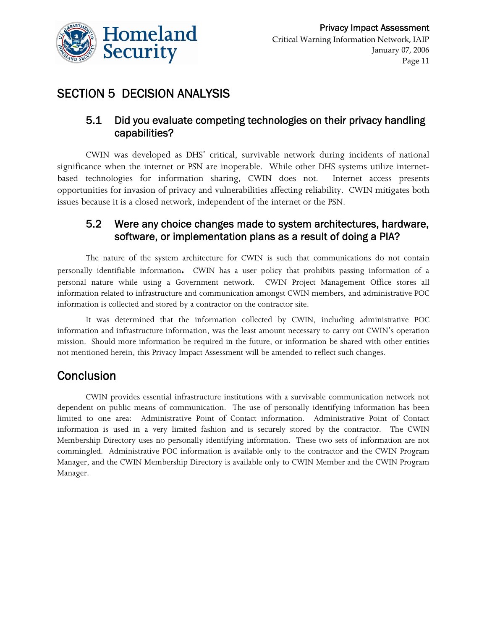

# SECTION 5 DECISION ANALYSIS

#### 5.1 Did you evaluate competing technologies on their privacy handling capabilities?

CWIN was developed as DHS' critical, survivable network during incidents of national significance when the internet or PSN are inoperable. While other DHS systems utilize internetbased technologies for information sharing, CWIN does not. Internet access presents opportunities for invasion of privacy and vulnerabilities affecting reliability. CWIN mitigates both issues because it is a closed network, independent of the internet or the PSN.

#### 5.2 Were any choice changes made to system architectures, hardware, software, or implementation plans as a result of doing a PIA?

The nature of the system architecture for CWIN is such that communications do not contain personally identifiable information**.** CWIN has a user policy that prohibits passing information of a personal nature while using a Government network.CWIN Project Management Office stores all information related to infrastructure and communication amongst CWIN members, and administrative POC information is collected and stored by a contractor on the contractor site.

It was determined that the information collected by CWIN, including administrative POC information and infrastructure information, was the least amount necessary to carry out CWIN's operation mission. Should more information be required in the future, or information be shared with other entities not mentioned herein, this Privacy Impact Assessment will be amended to reflect such changes.

## **Conclusion**

CWIN provides essential infrastructure institutions with a survivable communication network not dependent on public means of communication. The use of personally identifying information has been limited to one area: Administrative Point of Contact information. Administrative Point of Contact information is used in a very limited fashion and is securely stored by the contractor. The CWIN Membership Directory uses no personally identifying information. These two sets of information are not commingled. Administrative POC information is available only to the contractor and the CWIN Program Manager, and the CWIN Membership Directory is available only to CWIN Member and the CWIN Program Manager.